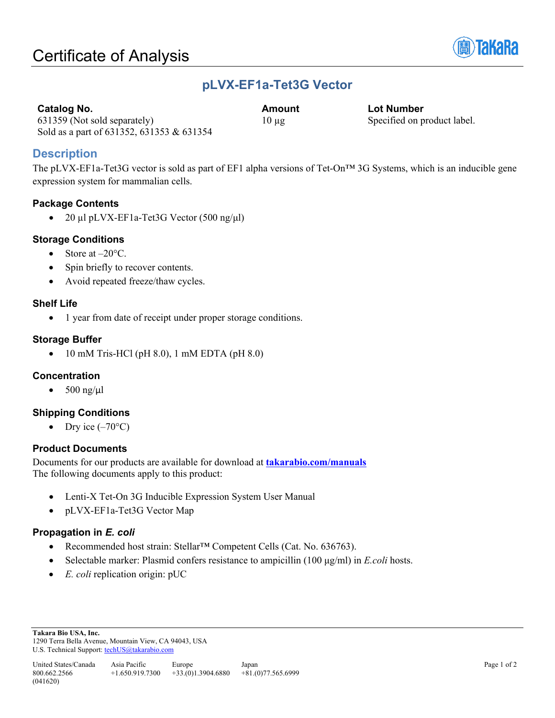

### **pLVX-EF1a-Tet3G Vector**

| <b>Catalog No.</b> |  |
|--------------------|--|
|                    |  |

**Catalog No. Amount Lot Number** 10 µg Specified on product label.

631359 (Not sold separately) Sold as a part of 631352, 631353 & 631354

**Description**

The pLVX-EF1a-Tet3G vector is sold as part of EF1 alpha versions of Tet-On™ 3G Systems, which is an inducible gene expression system for mammalian cells.

### **Package Contents**

• 20 µl pLVX-EF1a-Tet3G Vector  $(500 \text{ ng/µl})$ 

#### **Storage Conditions**

- Store at  $-20^{\circ}$ C.
- Spin briefly to recover contents.
- Avoid repeated freeze/thaw cycles.

#### **Shelf Life**

• 1 year from date of receipt under proper storage conditions.

### **Storage Buffer**

• 10 mM Tris-HCl (pH 8.0), 1 mM EDTA (pH 8.0)

### **Concentration**

 $\bullet$  500 ng/µl

### **Shipping Conditions**

• Dry ice  $(-70^{\circ}C)$ 

### **Product Documents**

Documents for our products are available for download at **[takarabio.com/manuals](http://www.takarabio.com/manuals)** The following documents apply to this product:

- Lenti-X Tet-On 3G Inducible Expression System User Manual
- pLVX-EF1a-Tet3G Vector Map

### **Propagation in** *E. coli*

- Recommended host strain: Stellar™ Competent Cells (Cat. No. 636763).
- Selectable marker: Plasmid confers resistance to ampicillin (100 μg/ml) in *E.coli* hosts.
- *E. coli* replication origin: pUC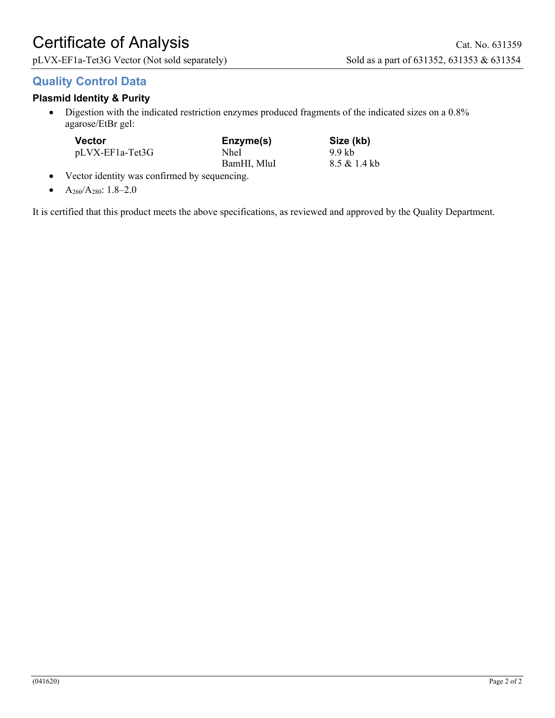# Certificate of Analysis Cat. No. 631359

pLVX-EF1a-Tet3G Vector (Not sold separately) Sold as a part of 631352, 631353 & 631354

### **Quality Control Data**

### **Plasmid Identity & Purity**

• Digestion with the indicated restriction enzymes produced fragments of the indicated sizes on a 0.8% agarose/EtBr gel:

| Vector          | Enzyme(s)   | Size (kb)    |
|-----------------|-------------|--------------|
| pLVX-EF1a-Tet3G | NheI        | 9.9 kb       |
|                 | BamHI, MluI | 8.5 & 1.4 kb |

- Vector identity was confirmed by sequencing.
- $A_{260}/A_{280}$ : 1.8–2.0

It is certified that this product meets the above specifications, as reviewed and approved by the Quality Department.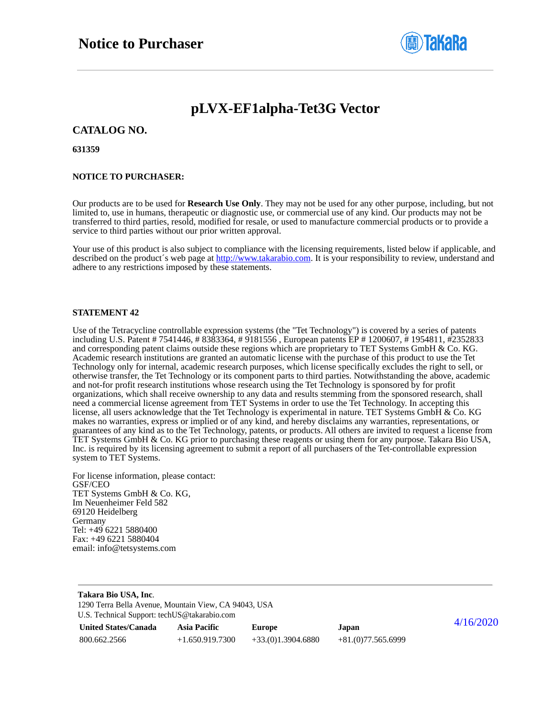

### **pLVX-EF1alpha-Tet3G Vector**

#### **CATALOG NO.**

**631359**

#### **NOTICE TO PURCHASER:**

Our products are to be used for **Research Use Only**. They may not be used for any other purpose, including, but not limited to, use in humans, therapeutic or diagnostic use, or commercial use of any kind. Our products may not be transferred to third parties, resold, modified for resale, or used to manufacture commercial products or to provide a service to third parties without our prior written approval.

Your use of this product is also subject to compliance with the licensing requirements, listed below if applicable, and described on the product's web page at [http://www.takarabio.com.](http://www.takarabio.com/) It is your responsibility to review, understand and adhere to any restrictions imposed by these statements.

#### **STATEMENT 42**

Use of the Tetracycline controllable expression systems (the "Tet Technology") is covered by a series of patents including U.S. Patent # 7541446, # 8383364, # 9181556 , European patents EP # 1200607, # 1954811, #2352833 and corresponding patent claims outside these regions which are proprietary to TET Systems GmbH & Co. KG. Academic research institutions are granted an automatic license with the purchase of this product to use the Tet Technology only for internal, academic research purposes, which license specifically excludes the right to sell, or otherwise transfer, the Tet Technology or its component parts to third parties. Notwithstanding the above, academic and not-for profit research institutions whose research using the Tet Technology is sponsored by for profit organizations, which shall receive ownership to any data and results stemming from the sponsored research, shall need a commercial license agreement from TET Systems in order to use the Tet Technology. In accepting this license, all users acknowledge that the Tet Technology is experimental in nature. TET Systems GmbH  $\&$  Co. KG makes no warranties, express or implied or of any kind, and hereby disclaims any warranties, representations, or guarantees of any kind as to the Tet Technology, patents, or products. All others are invited to request a license from TET Systems GmbH & Co. KG prior to purchasing these reagents or using them for any purpose. Takara Bio USA, Inc. is required by its licensing agreement to submit a report of all purchasers of the Tet-controllable expression system to TET Systems.

For license information, please contact: GSF/CEO TET Systems GmbH & Co. KG, Im Neuenheimer Feld 582 69120 Heidelberg Germany Tel: +49 6221 5880400 Fax: +49 6221 5880404 email: info@tetsystems.com

| Takara Bio USA, Inc.<br>1290 Terra Bella Avenue, Mountain View, CA 94043, USA<br>U.S. Technical Support: techUS@takarabio.com |                     |                     |                     |           |  |  |
|-------------------------------------------------------------------------------------------------------------------------------|---------------------|---------------------|---------------------|-----------|--|--|
| <b>United States/Canada</b>                                                                                                   | <b>Asia Pacific</b> | Europe              | Japan               | 4/16/2020 |  |  |
| 800.662.2566                                                                                                                  | $+1.650.919.7300$   | $+33(0)1.3904.6880$ | $+81(0)77.565.6999$ |           |  |  |